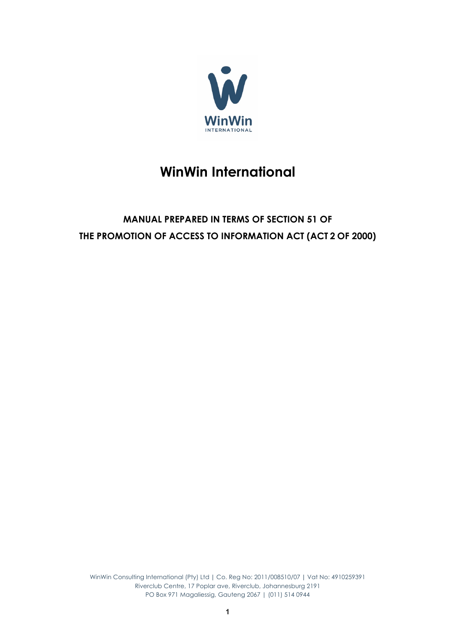

# **WinWin International**

# **MANUAL PREPARED IN TERMS OF SECTION 51 OF THE PROMOTION OF ACCESS TO INFORMATION ACT (ACT 2 OF 2000)**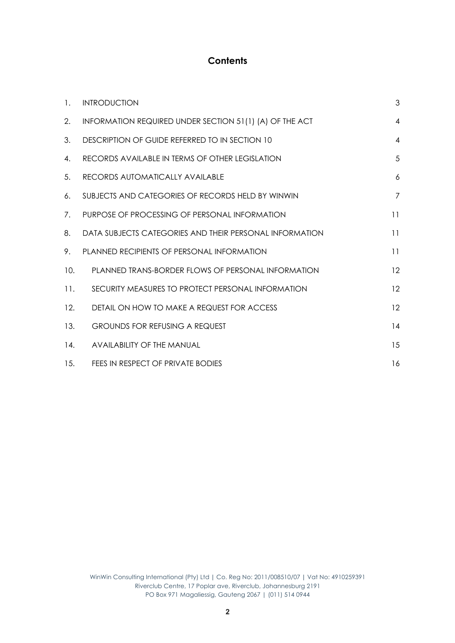#### **Contents**

| $\mathbf{1}$ . | <b>INTRODUCTION</b>                                       | 3              |
|----------------|-----------------------------------------------------------|----------------|
| 2.             | INFORMATION REQUIRED UNDER SECTION 51(1) (A) OF THE ACT   | $\overline{4}$ |
| 3.             | DESCRIPTION OF GUIDE REFERRED TO IN SECTION 10            | $\overline{4}$ |
| 4.             | RECORDS AVAILABLE IN TERMS OF OTHER LEGISLATION           | 5              |
| 5.             | RECORDS AUTOMATICALLY AVAILABLE                           | 6              |
| 6.             | SUBJECTS AND CATEGORIES OF RECORDS HELD BY WINWIN         | $\overline{7}$ |
| 7.             | PURPOSE OF PROCESSING OF PERSONAL INFORMATION             | 11             |
| 8.             | DATA SUBJECTS CATEGORIES AND THEIR PERSONAL INFORMATION   | 11             |
| 9.             | <b>PLANNED RECIPIENTS OF PERSONAL INFORMATION</b>         | 11             |
| 10.            | <b>PLANNED TRANS-BORDER FLOWS OF PERSONAL INFORMATION</b> | 12             |
| 11.            | SECURITY MEASURES TO PROTECT PERSONAL INFORMATION         | 12             |
| 12.            | DETAIL ON HOW TO MAKE A REQUEST FOR ACCESS                | 12             |
| 13.            | <b>GROUNDS FOR REFUSING A REQUEST</b>                     | 14             |
| 14.            | <b>AVAILABILITY OF THE MANUAL</b>                         | 15             |
| 15.            | FEES IN RESPECT OF PRIVATE BODIES                         | 16             |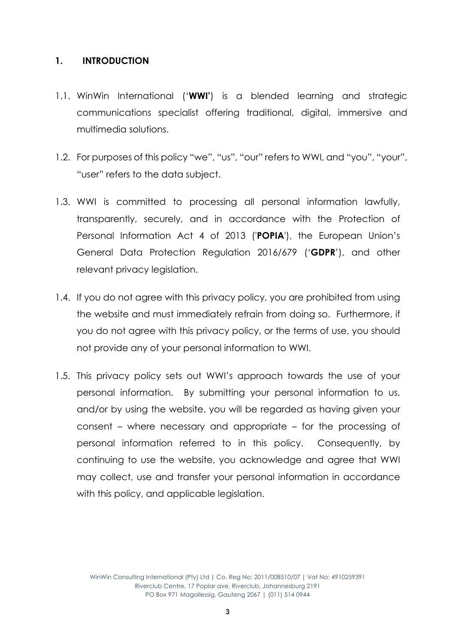#### **1. INTRODUCTION**

- 1.1. WinWin International ('**WWI'**) is a blended learning and strategic communications specialist offering traditional, digital, immersive and multimedia solutions.
- 1.2. For purposes of this policy "we", "us", "our" refers to WWI, and "you", "your", "user" refers to the data subject.
- 1.3. WWI is committed to processing all personal information lawfully, transparently, securely, and in accordance with the Protection of Personal Information Act 4 of 2013 ('**POPIA**'), the European Union's General Data Protection Regulation 2016/679 ('**GDPR**'), and other relevant privacy legislation.
- 1.4. If you do not agree with this privacy policy, you are prohibited from using the website and must immediately refrain from doing so. Furthermore, if you do not agree with this privacy policy, or the terms of use, you should not provide any of your personal information to WWI.
- 1.5. This privacy policy sets out WWI's approach towards the use of your personal information. By submitting your personal information to us, and/or by using the website, you will be regarded as having given your consent – where necessary and appropriate – for the processing of personal information referred to in this policy. Consequently, by continuing to use the website, you acknowledge and agree that WWI may collect, use and transfer your personal information in accordance with this policy, and applicable legislation.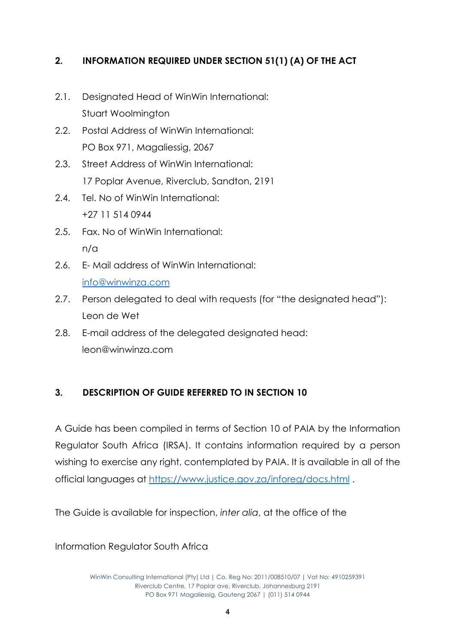# **2. INFORMATION REQUIRED UNDER SECTION 51(1) (A) OF THE ACT**

- 2.1. Designated Head of WinWin International: Stuart Woolmington
- 2.2. Postal Address of WinWin International: PO Box 971, Magaliessia, 2067
- 2.3. Street Address of WinWin International: 17 Poplar Avenue, Riverclub, Sandton, 2191
- 2.4. Tel. No of WinWin International: +27 11 514 0944
- 2.5. Fax. No of WinWin International: n/a
- 2.6. E- Mail address of WinWin International: info@winwinza.com
- 2.7. Person delegated to deal with requests (for "the designated head"): Leon de Wet
- 2.8. E-mail address of the delegated designated head: leon@winwinza.com

# **3. DESCRIPTION OF GUIDE REFERRED TO IN SECTION 10**

A Guide has been compiled in terms of Section 10 of PAIA by the Information Regulator South Africa (IRSA). It contains information required by a person wishing to exercise any right, contemplated by PAIA. It is available in all of the official languages at https://www.justice.gov.za/inforeg/docs.html .

The Guide is available for inspection, *inter alia*, at the office of the

Information Regulator South Africa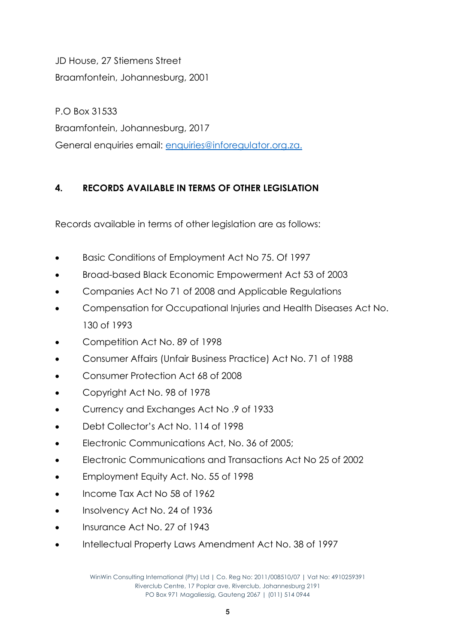JD House, 27 Stiemens Street Braamfontein, Johannesburg, 2001

P.O Box 31533 Braamfontein, Johannesburg, 2017 General enquiries email: enquiries@inforegulator.org.za.

# **4. RECORDS AVAILABLE IN TERMS OF OTHER LEGISLATION**

Records available in terms of other legislation are as follows:

- Basic Conditions of Employment Act No 75. Of 1997
- Broad-based Black Economic Empowerment Act 53 of 2003
- Companies Act No 71 of 2008 and Applicable Regulations
- Compensation for Occupational Injuries and Health Diseases Act No. 130 of 1993
- Competition Act No. 89 of 1998
- Consumer Affairs (Unfair Business Practice) Act No. 71 of 1988
- Consumer Protection Act 68 of 2008
- Copyright Act No. 98 of 1978
- Currency and Exchanges Act No .9 of 1933
- Debt Collector's Act No. 114 of 1998
- Electronic Communications Act, No. 36 of 2005;
- Electronic Communications and Transactions Act No 25 of 2002
- Employment Equity Act. No. 55 of 1998
- Income Tax Act No 58 of 1962
- Insolvency Act No. 24 of 1936
- Insurance Act No. 27 of 1943
- Intellectual Property Laws Amendment Act No. 38 of 1997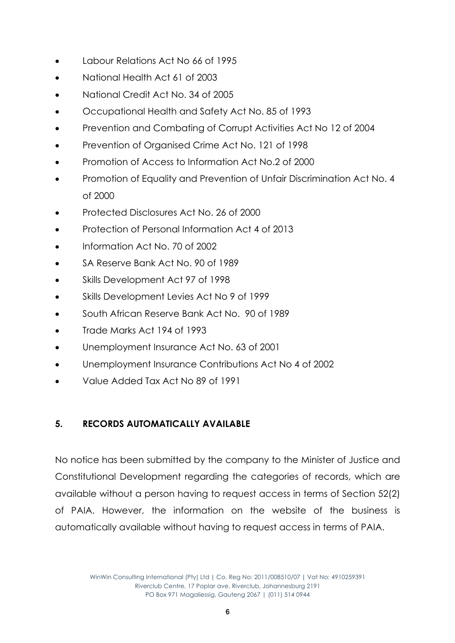- Labour Relations Act No 66 of 1995
- National Health Act 61 of 2003
- National Credit Act No. 34 of 2005
- Occupational Health and Safety Act No. 85 of 1993
- Prevention and Combating of Corrupt Activities Act No 12 of 2004
- Prevention of Organised Crime Act No. 121 of 1998
- Promotion of Access to Information Act No.2 of 2000
- Promotion of Equality and Prevention of Unfair Discrimination Act No. 4 of 2000
- Protected Disclosures Act No. 26 of 2000
- Protection of Personal Information Act 4 of 2013
- Information Act No. 70 of 2002
- SA Reserve Bank Act No. 90 of 1989
- Skills Development Act 97 of 1998
- Skills Development Levies Act No 9 of 1999
- South African Reserve Bank Act No. 90 of 1989
- Trade Marks Act 194 of 1993
- Unemployment Insurance Act No. 63 of 2001
- Unemployment Insurance Contributions Act No 4 of 2002
- Value Added Tax Act No 89 of 1991

# **5. RECORDS AUTOMATICALLY AVAILABLE**

No notice has been submitted by the company to the Minister of Justice and Constitutional Development regarding the categories of records, which are available without a person having to request access in terms of Section 52(2) of PAIA. However, the information on the website of the business is automatically available without having to request access in terms of PAIA.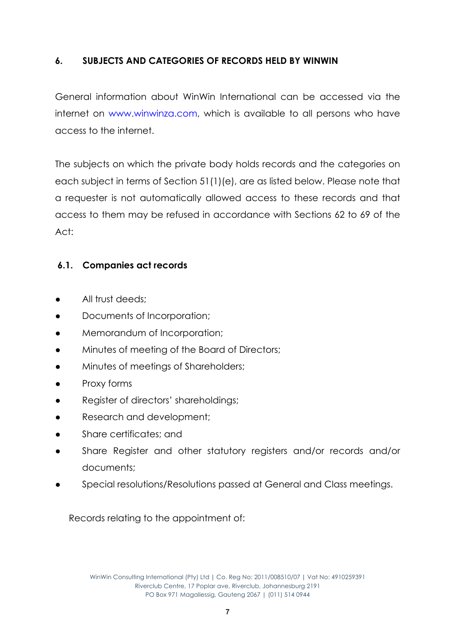#### **6. SUBJECTS AND CATEGORIES OF RECORDS HELD BY WINWIN**

General information about WinWin International can be accessed via the internet on www.winwinza.com, which is available to all persons who have access to the internet.

The subjects on which the private body holds records and the categories on each subject in terms of Section 51(1)(e), are as listed below. Please note that a requester is not automatically allowed access to these records and that access to them may be refused in accordance with Sections 62 to 69 of the  $Act$ 

#### **6.1. Companies act records**

- All trust deeds;
- Documents of Incorporation;
- Memorandum of Incorporation;
- Minutes of meeting of the Board of Directors;
- Minutes of meetings of Shareholders;
- Proxy forms
- Register of directors' shareholdings;
- Research and development:
- Share certificates; and
- Share Register and other statutory registers and/or records and/or documents;
- Special resolutions/Resolutions passed at General and Class meetings.

Records relating to the appointment of: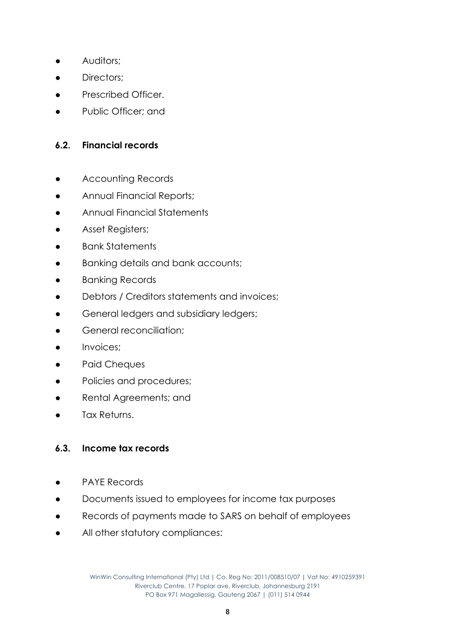- **•** Auditors;
- Directors:
- Prescribed Officer.
- Public Officer; and

#### **6.2. Financial records**

- **•** Accounting Records
- **•** Annual Financial Reports;
- Annual Financial Statements
- Asset Registers;
- **Bank Statements**
- Banking details and bank accounts;
- Banking Records
- Debtors / Creditors statements and invoices;
- General ledgers and subsidiary ledgers;
- **•** General reconciliation:
- Invoices;
- Paid Cheques
- Policies and procedures;
- Rental Agreements; and
- Tax Returns.

#### **6.3. Income tax records**

- PAYE Records
- Documents issued to employees for income tax purposes
- Records of payments made to SARS on behalf of employees
- All other statutory compliances: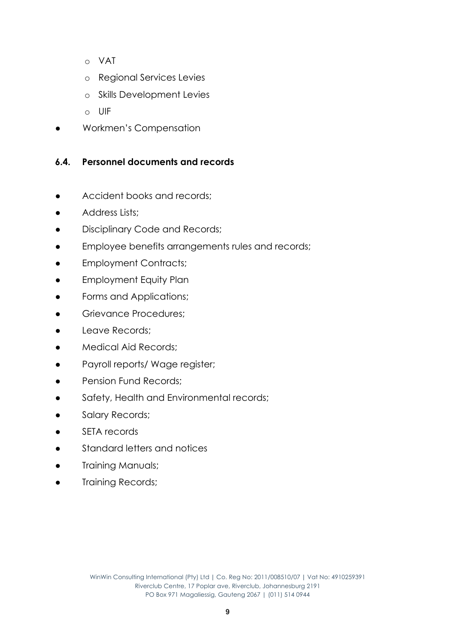- o VAT
- o Regional Services Levies
- o Skills Development Levies
- o UIF
- Workmen's Compensation

# **6.4. Personnel documents and records**

- Accident books and records;
- Address Lists;
- Disciplinary Code and Records;
- Employee benefits arrangements rules and records;
- Employment Contracts;
- Employment Equity Plan
- **•** Forms and Applications;
- **•** Grievance Procedures;
- Leave Records;
- Medical Aid Records;
- Payroll reports/ Wage register;
- Pension Fund Records:
- Safety, Health and Environmental records;
- **•** Salary Records;
- SETA records
- Standard letters and notices
- **Training Manuals;**
- **Training Records;**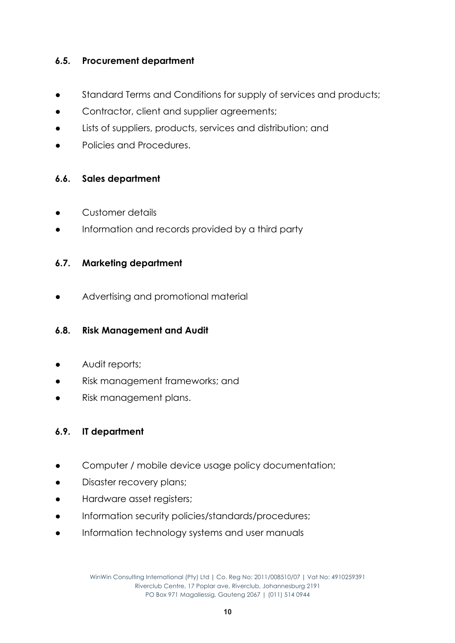#### **6.5. Procurement department**

- Standard Terms and Conditions for supply of services and products;
- Contractor, client and supplier agreements;
- Lists of suppliers, products, services and distribution; and
- Policies and Procedures.

#### **6.6. Sales department**

- Customer details
- Information and records provided by a third party

#### **6.7. Marketing department**

● Advertising and promotional material

#### **6.8. Risk Management and Audit**

- Audit reports;
- Risk management frameworks; and
- Risk management plans.

#### **6.9. IT department**

- Computer / mobile device usage policy documentation;
- Disaster recovery plans;
- Hardware asset registers;
- Information security policies/standards/procedures;
- Information technology systems and user manuals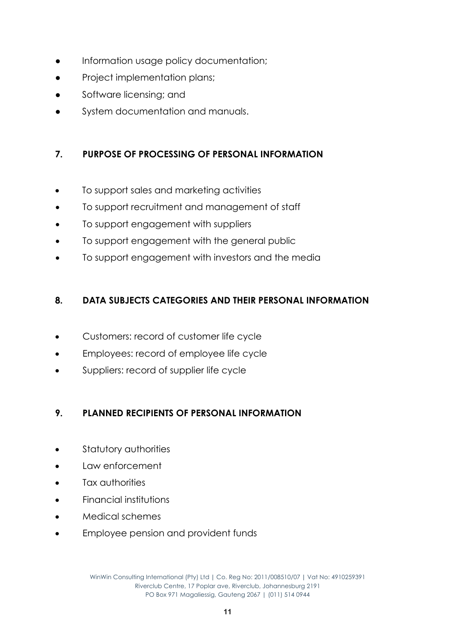- Information usage policy documentation;
- Project implementation plans;
- Software licensing; and
- System documentation and manuals.

# **7. PURPOSE OF PROCESSING OF PERSONAL INFORMATION**

- To support sales and marketing activities
- To support recruitment and management of staff
- To support engagement with suppliers
- To support engagement with the general public
- To support engagement with investors and the media

# **8. DATA SUBJECTS CATEGORIES AND THEIR PERSONAL INFORMATION**

- Customers: record of customer life cycle
- Employees: record of employee life cycle
- Suppliers: record of supplier life cycle

# **9. PLANNED RECIPIENTS OF PERSONAL INFORMATION**

- Statutory authorities
- Law enforcement
- Tax authorities
- Financial institutions
- Medical schemes
- Employee pension and provident funds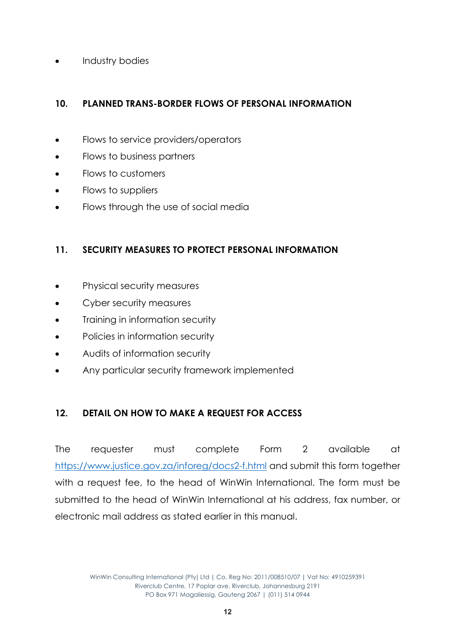• Industry bodies

# **10. PLANNED TRANS-BORDER FLOWS OF PERSONAL INFORMATION**

- Flows to service providers/operators
- Flows to business partners
- Flows to customers
- Flows to suppliers
- Flows through the use of social media

#### **11. SECURITY MEASURES TO PROTECT PERSONAL INFORMATION**

- Physical security measures
- Cyber security measures
- Training in information security
- Policies in information security
- Audits of information security
- Any particular security framework implemented

#### **12. DETAIL ON HOW TO MAKE A REQUEST FOR ACCESS**

The requester must complete Form 2 available at https://www.justice.gov.za/inforeg/docs2-f.html and submit this form together with a request fee, to the head of WinWin International. The form must be submitted to the head of WinWin International at his address, fax number, or electronic mail address as stated earlier in this manual.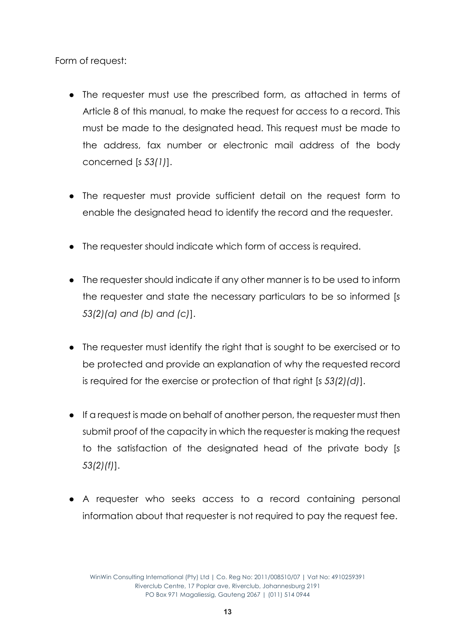Form of request:

- The requester must use the prescribed form, as attached in terms of Article 8 of this manual, to make the request for access to a record. This must be made to the designated head. This request must be made to the address, fax number or electronic mail address of the body concerned [*s 53(1)*].
- The requester must provide sufficient detail on the request form to enable the designated head to identify the record and the requester.
- The requester should indicate which form of access is required.
- The requester should indicate if any other manner is to be used to inform the requester and state the necessary particulars to be so informed [*s 53(2)(a) and (b) and (c)*].
- The requester must identify the right that is sought to be exercised or to be protected and provide an explanation of why the requested record is required for the exercise or protection of that right [*s 53(2)(d)*].
- If a request is made on behalf of another person, the requester must then submit proof of the capacity in which the requester is making the request to the satisfaction of the designated head of the private body [*s 53(2)(f)*].
- A requester who seeks access to a record containing personal information about that requester is not required to pay the request fee.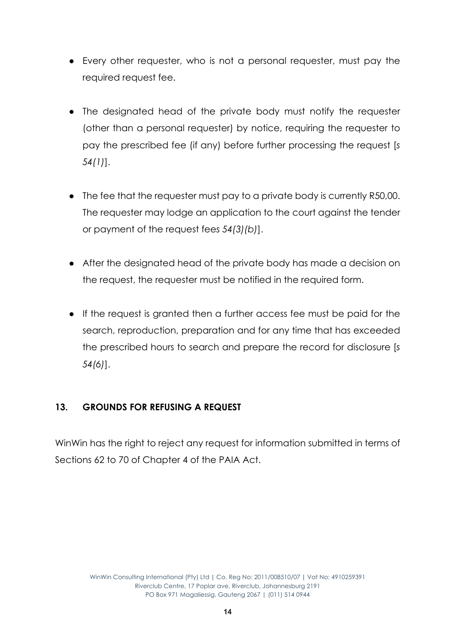- Every other requester, who is not a personal requester, must pay the required request fee.
- The designated head of the private body must notify the requester (other than a personal requester) by notice, requiring the requester to pay the prescribed fee (if any) before further processing the request [*s 54(1)*].
- The fee that the requester must pay to a private body is currently R50,00. The requester may lodge an application to the court against the tender or payment of the request fee*s 54(3)(b)*].
- After the designated head of the private body has made a decision on the request, the requester must be notified in the required form.
- If the request is granted then a further access fee must be paid for the search, reproduction, preparation and for any time that has exceeded the prescribed hours to search and prepare the record for disclosure [*s 54(6)*].

# **13. GROUNDS FOR REFUSING A REQUEST**

WinWin has the right to reject any request for information submitted in terms of Sections 62 to 70 of Chapter 4 of the PAIA Act.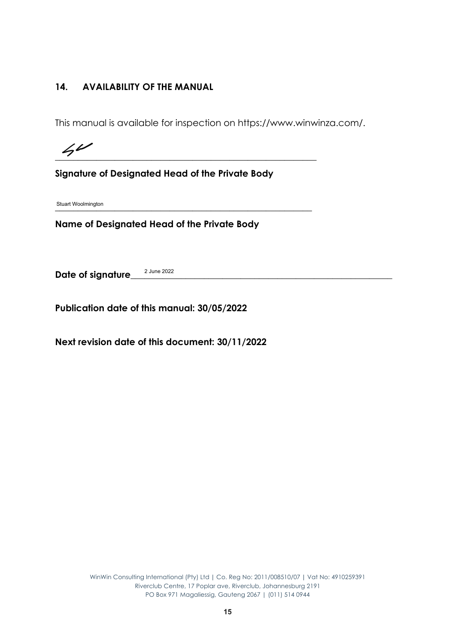#### **14. AVAILABILITY OF THE MANUAL**

This manual is available for inspection on https://www.winwinza.com/.

**\_\_\_\_\_\_\_\_\_\_\_\_\_\_\_\_\_\_\_\_\_\_\_\_\_\_\_\_\_\_\_\_\_\_\_\_\_\_\_\_\_\_\_\_\_\_\_\_\_\_\_\_\_\_\_\_\_**

**Signature of Designated Head of the Private Body**

**\_\_\_\_\_\_\_\_\_\_\_\_\_\_\_\_\_\_\_\_\_\_\_\_\_\_\_\_\_\_\_\_\_\_\_\_\_\_\_\_\_\_\_\_\_\_\_\_\_\_\_\_\_\_\_\_** Stuart Woolmington

**Name of Designated Head of the Private Body**

Date of signature 2 June 2022

**Publication date of this manual: 30/05/2022**

**Next revision date of this document: 30/11/2022**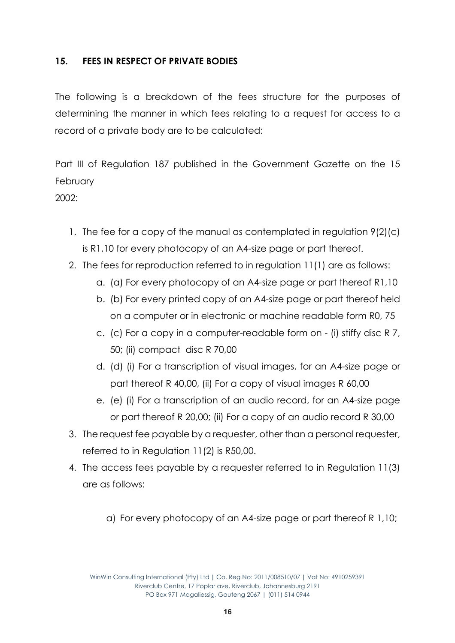#### **15. FEES IN RESPECT OF PRIVATE BODIES**

The following is a breakdown of the fees structure for the purposes of determining the manner in which fees relating to a request for access to a record of a private body are to be calculated:

Part III of Regulation 187 published in the Government Gazette on the 15 February

 $2002$ 

- 1. The fee for a copy of the manual as contemplated in regulation 9(2)(c) is R1,10 for every photocopy of an A4-size page or part thereof.
- 2. The fees for reproduction referred to in regulation 11(1) are as follows:
	- a. (a) For every photocopy of an A4-size page or part thereof R1,10
	- b. (b) For every printed copy of an A4-size page or part thereof held on a computer or in electronic or machine readable form R0, 75
	- c. (c) For a copy in a computer-readable form on (i) stiffy disc R 7, 50; (ii) compact disc R 70,00
	- d. (d) (i) For a transcription of visual images, for an A4-size page or part thereof R 40,00, (ii) For a copy of visual images R 60,00
	- e. (e) (i) For a transcription of an audio record, for an A4-size page or part thereof R 20,00; (ii) For a copy of an audio record R 30,00
- 3. The request fee payable by a requester, other than a personal requester, referred to in Regulation 11(2) is R50,00.
- 4. The access fees payable by a requester referred to in Regulation 11(3) are as follows:
	- a) For every photocopy of an A4-size page or part thereof R 1,10;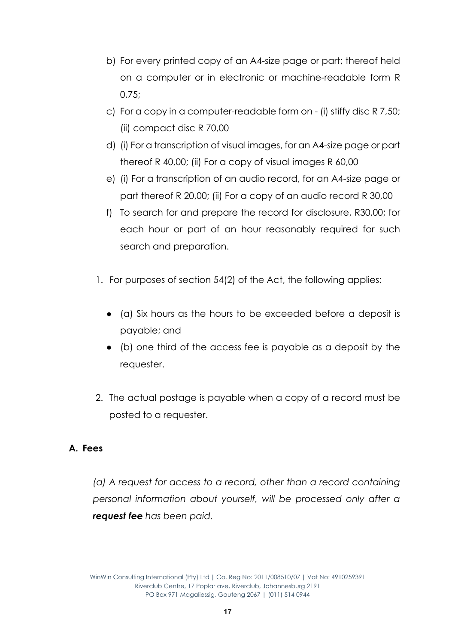- b) For every printed copy of an A4-size page or part; thereof held on a computer or in electronic or machine-readable form R 0,75;
- c) For a copy in a computer-readable form on (i) stiffy disc R 7,50; (ii) compact disc R 70,00
- d) (i) For a transcription of visual images, for an A4-size page or part thereof R 40,00; (ii) For a copy of visual images R 60,00
- e) (i) For a transcription of an audio record, for an A4-size page or part thereof R 20,00; (ii) For a copy of an audio record R 30,00
- f) To search for and prepare the record for disclosure, R30,00; for each hour or part of an hour reasonably required for such search and preparation.
- 1. For purposes of section 54(2) of the Act, the following applies:
	- (a) Six hours as the hours to be exceeded before a deposit is payable; and
	- (b) one third of the access fee is payable as a deposit by the requester.
- 2. The actual postage is payable when a copy of a record must be posted to a requester.

#### **A. Fees**

*(a) A request for access to a record, other than a record containing personal information about yourself, will be processed only after a request fee has been paid.*